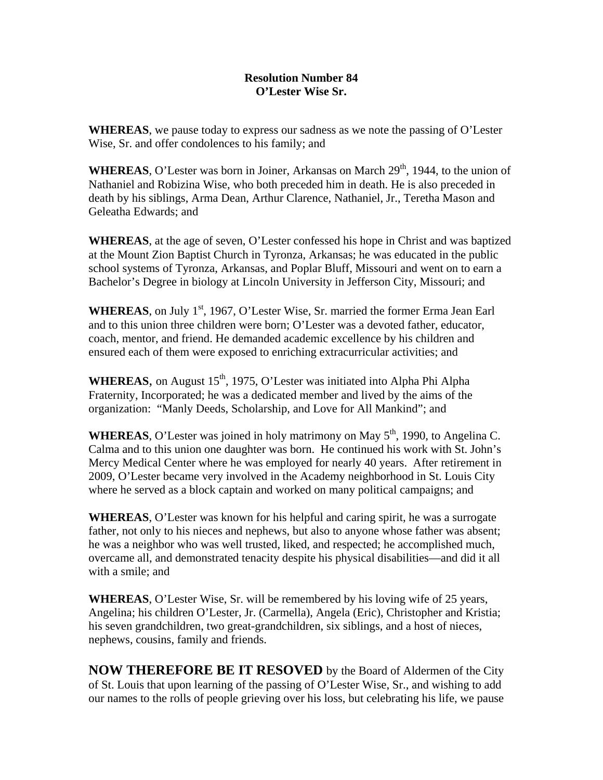## **Resolution Number 84 O'Lester Wise Sr.**

**WHEREAS**, we pause today to express our sadness as we note the passing of O'Lester Wise, Sr. and offer condolences to his family; and

**WHEREAS**, O'Lester was born in Joiner, Arkansas on March  $29<sup>th</sup>$ , 1944, to the union of Nathaniel and Robizina Wise, who both preceded him in death. He is also preceded in death by his siblings, Arma Dean, Arthur Clarence, Nathaniel, Jr., Teretha Mason and Geleatha Edwards; and

**WHEREAS**, at the age of seven, O'Lester confessed his hope in Christ and was baptized at the Mount Zion Baptist Church in Tyronza, Arkansas; he was educated in the public school systems of Tyronza, Arkansas, and Poplar Bluff, Missouri and went on to earn a Bachelor's Degree in biology at Lincoln University in Jefferson City, Missouri; and

**WHEREAS**, on July 1<sup>st</sup>, 1967, O'Lester Wise, Sr. married the former Erma Jean Earl and to this union three children were born; O'Lester was a devoted father, educator, coach, mentor, and friend. He demanded academic excellence by his children and ensured each of them were exposed to enriching extracurricular activities; and

**WHEREAS**, on August  $15<sup>th</sup>$ , 1975, O'Lester was initiated into Alpha Phi Alpha Fraternity, Incorporated; he was a dedicated member and lived by the aims of the organization: "Manly Deeds, Scholarship, and Love for All Mankind"; and

**WHEREAS**, O'Lester was joined in holy matrimony on May  $5<sup>th</sup>$ , 1990, to Angelina C. Calma and to this union one daughter was born. He continued his work with St. John's Mercy Medical Center where he was employed for nearly 40 years. After retirement in 2009, O'Lester became very involved in the Academy neighborhood in St. Louis City where he served as a block captain and worked on many political campaigns; and

**WHEREAS**, O'Lester was known for his helpful and caring spirit, he was a surrogate father, not only to his nieces and nephews, but also to anyone whose father was absent; he was a neighbor who was well trusted, liked, and respected; he accomplished much, overcame all, and demonstrated tenacity despite his physical disabilities—and did it all with a smile; and

**WHEREAS**, O'Lester Wise, Sr. will be remembered by his loving wife of 25 years, Angelina; his children O'Lester, Jr. (Carmella), Angela (Eric), Christopher and Kristia; his seven grandchildren, two great-grandchildren, six siblings, and a host of nieces, nephews, cousins, family and friends.

**NOW THEREFORE BE IT RESOVED** by the Board of Aldermen of the City of St. Louis that upon learning of the passing of O'Lester Wise, Sr., and wishing to add our names to the rolls of people grieving over his loss, but celebrating his life, we pause